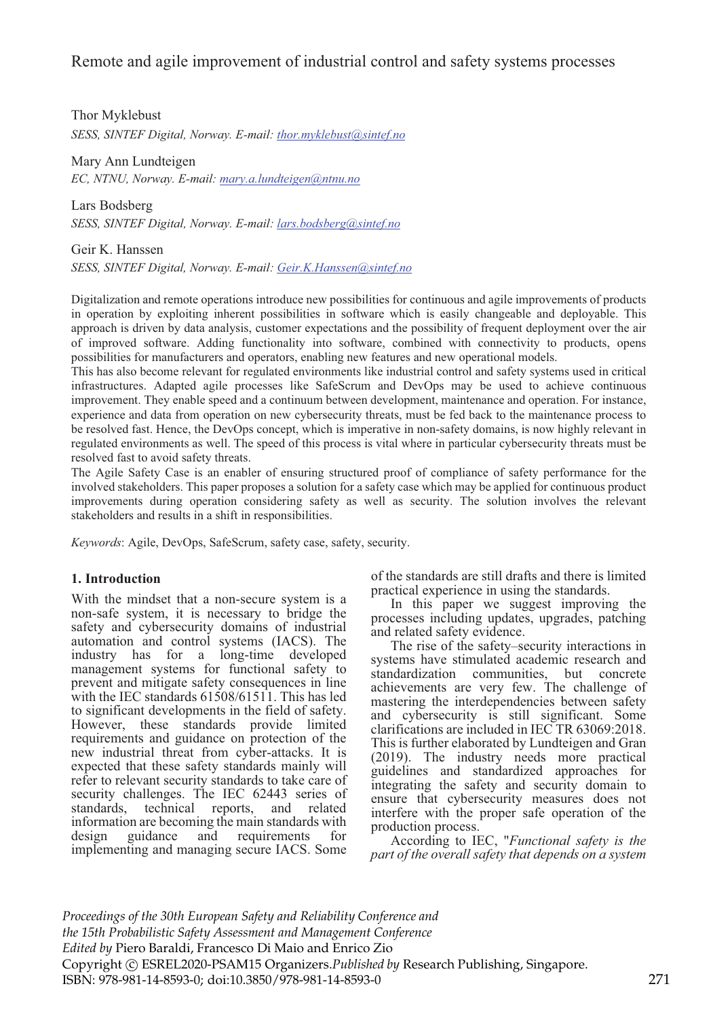# Remote and agile improvement of industrial control and safety systems processes

Thor Myklebust *SESS, SINTEF Digital, Norway. E-mail: thor.myklebust@sintef.no*

Mary Ann Lundteigen *EC, NTNU, Norway. E-mail: mary.a.lundteigen@ntnu.no*

Lars Bodsberg *SESS, SINTEF Digital, Norway. E-mail: lars.bodsberg@sintef.no*

Geir K. Hanssen *SESS, SINTEF Digital, Norway. E-mail: Geir.K.Hanssen@sintef.no*

Digitalization and remote operations introduce new possibilities for continuous and agile improvements of products in operation by exploiting inherent possibilities in software which is easily changeable and deployable. This approach is driven by data analysis, customer expectations and the possibility of frequent deployment over the air of improved software. Adding functionality into software, combined with connectivity to products, opens possibilities for manufacturers and operators, enabling new features and new operational models.

This has also become relevant for regulated environments like industrial control and safety systems used in critical infrastructures. Adapted agile processes like SafeScrum and DevOps may be used to achieve continuous improvement. They enable speed and a continuum between development, maintenance and operation. For instance, experience and data from operation on new cybersecurity threats, must be fed back to the maintenance process to be resolved fast. Hence, the DevOps concept, which is imperative in non-safety domains, is now highly relevant in regulated environments as well. The speed of this process is vital where in particular cybersecurity threats must be resolved fast to avoid safety threats.

The Agile Safety Case is an enabler of ensuring structured proof of compliance of safety performance for the involved stakeholders. This paper proposes a solution for a safety case which may be applied for continuous product improvements during operation considering safety as well as security. The solution involves the relevant stakeholders and results in a shift in responsibilities.

*Keywords*: Agile, DevOps, SafeScrum, safety case, safety, security.

# **1. Introduction**

With the mindset that a non-secure system is a non-safe system, it is necessary to bridge the safety and cybersecurity domains of industrial automation and control systems (IACS). The industry has for a long-time developed management systems for functional safety to prevent and mitigate safety consequences in line with the IEC standards 61508/61511. This has led to significant developments in the field of safety. However, these standards provide limited requirements and guidance on protection of the new industrial threat from cyber-attacks. It is expected that these safety standards mainly will refer to relevant security standards to take care of security challenges. The IEC 62443 series of standards. technical reports. and related technical reports, and related information are becoming the main standards with<br>design guidance and requirements for requirements implementing and managing secure IACS. Some of the standards are still drafts and there is limited practical experience in using the standards.

In this paper we suggest improving the processes including updates, upgrades, patching and related safety evidence.

The rise of the safety–security interactions in systems have stimulated academic research and standardization communities, but concrete achievements are very few. The challenge of mastering the interdependencies between safety and cybersecurity is still significant. Some clarifications are included in IEC TR 63069:2018. This is further elaborated by Lundteigen and Gran (2019). The industry needs more practical guidelines and standardized approaches for integrating the safety and security domain to ensure that cybersecurity measures does not interfere with the proper safe operation of the production process.

According to IEC, "*Functional safety is the part of the overall safety that depends on a system* 

*Proceedings of the 30th European Safety and Reliability Conference and the 15th Probabilistic Safety Assessment and Management Conference Edited by* Piero Baraldi, Francesco Di Maio and Enrico Zio Copyright © ESREL2020-PSAM15 Organizers.*Published by* Research Publishing, Singapore. ISBN: 978-981-14-8593-0; doi:10.3850/978-981-14-8593-0 271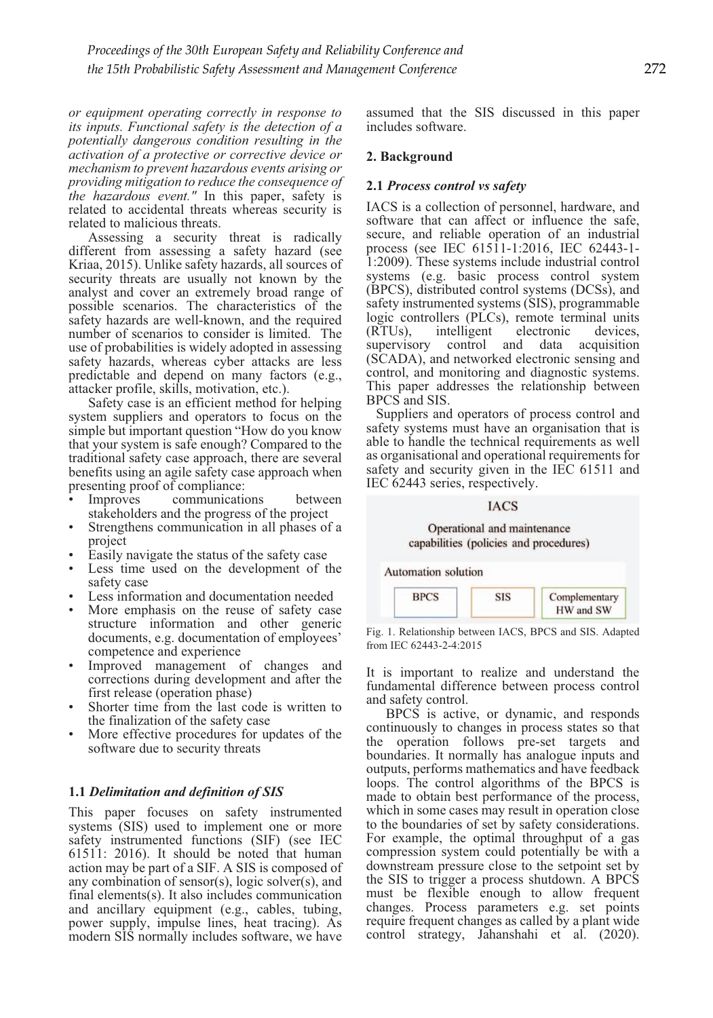*or equipment operating correctly in response to its inputs. Functional safety is the detection of a potentially dangerous condition resulting in the activation of a protective or corrective device or mechanism to prevent hazardous events arising or providing mitigation to reduce the consequence of the hazardous event."* In this paper, safety is related to accidental threats whereas security is related to malicious threats.

Assessing a security threat is radically different from assessing a safety hazard (see Kriaa, 2015). Unlike safety hazards, all sources of security threats are usually not known by the analyst and cover an extremely broad range of possible scenarios. The characteristics of the safety hazards are well-known, and the required number of scenarios to consider is limited. The use of probabilities is widely adopted in assessing safety hazards, whereas cyber attacks are less predictable and depend on many factors (e.g., attacker profile, skills, motivation, etc.).

Safety case is an efficient method for helping system suppliers and operators to focus on the simple but important question "How do you know that your system is safe enough? Compared to the traditional safety case approach, there are several benefits using an agile safety case approach when presenting proof of compliance:<br>• Improves communication

- communications between stakeholders and the progress of the project
- Strengthens communication in all phases of a project
- Easily navigate the status of the safety case
- Less time used on the development of the safety case
- Less information and documentation needed
- More emphasis on the reuse of safety case structure information and other generic documents, e.g. documentation of employees' competence and experience
- Improved management of changes and corrections during development and after the first release (operation phase)
- Shorter time from the last code is written to the finalization of the safety case
- More effective procedures for updates of the software due to security threats

# **1.1** *Delimitation and definition of SIS*

This paper focuses on safety instrumented systems (SIS) used to implement one or more safety instrumented functions (SIF) (see IEC 61511: 2016). It should be noted that human action may be part of a SIF. A SIS is composed of any combination of sensor(s), logic solver(s), and final elements(s). It also includes communication and ancillary equipment (e.g., cables, tubing, power supply, impulse lines, heat tracing). As modern SIS normally includes software, we have

assumed that the SIS discussed in this paper includes software.

#### **2. Background**

#### **2.1** *Process control vs safety*

IACS is a collection of personnel, hardware, and software that can affect or influence the safe, secure, and reliable operation of an industrial process (see IEC 61511-1:2016, IEC 62443-1- 1:2009). These systems include industrial control systems (e.g. basic process control system (BPCS), distributed control systems (DCSs), and safety instrumented systems (SIS), programmable logic controllers (PLCs), remote terminal units (RTUs), intelligent electronic devices, supervisory control and data acquisition (SCADA), and networked electronic sensing and control, and monitoring and diagnostic systems. This paper addresses the relationship between BPCS and SIS.

Suppliers and operators of process control and safety systems must have an organisation that is able to handle the technical requirements as well as organisational and operational requirements for safety and security given in the IEC 61511 and IEC 62443 series, respectively.

#### **IACS**

#### Operational and maintenance capabilities (policies and procedures)



Fig. 1. Relationship between IACS, BPCS and SIS. Adapted from IEC 62443-2-4:2015

It is important to realize and understand the fundamental difference between process control and safety control.

BPCS is active, or dynamic, and responds continuously to changes in process states so that the operation follows pre-set targets and boundaries. It normally has analogue inputs and outputs, performs mathematics and have feedback loops. The control algorithms of the BPCS is made to obtain best performance of the process, which in some cases may result in operation close to the boundaries of set by safety considerations. For example, the optimal throughput of a gas compression system could potentially be with a downstream pressure close to the setpoint set by the SIS to trigger a process shutdown. A BPCS must be flexible enough to allow frequent changes. Process parameters e.g. set points require frequent changes as called by a plant wide control strategy, Jahanshahi et al. (2020).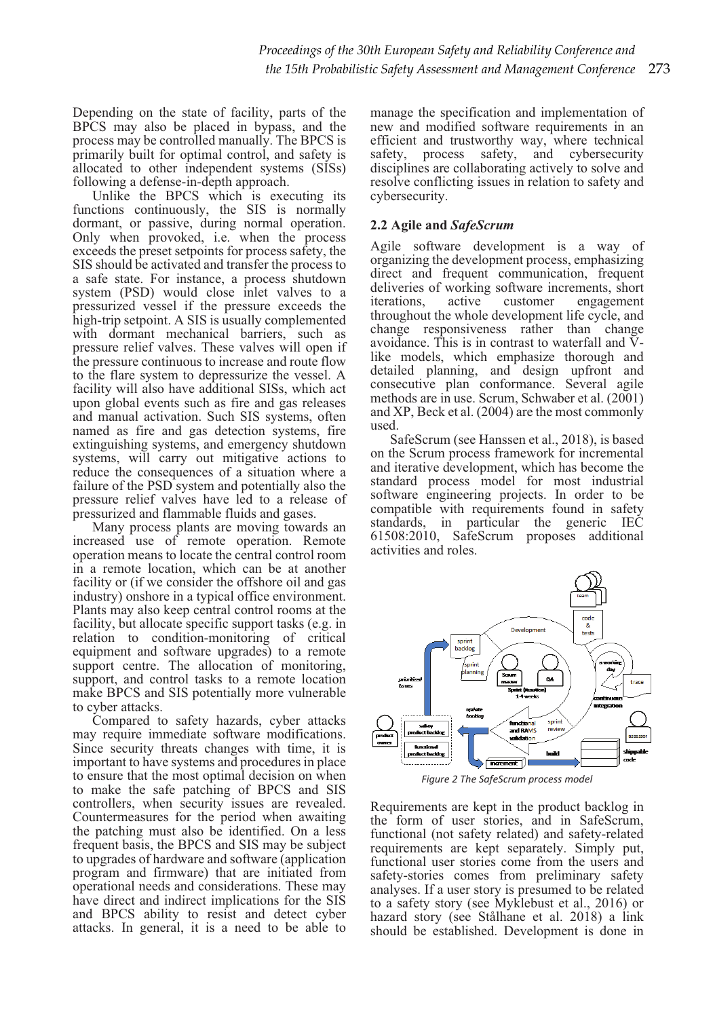Depending on the state of facility, parts of the BPCS may also be placed in bypass, and the process may be controlled manually. The BPCS is primarily built for optimal control, and safety is allocated to other independent systems (SISs) following a defense-in-depth approach.

Unlike the BPCS which is executing its functions continuously, the SIS is normally dormant, or passive, during normal operation. Only when provoked, i.e. when the process exceeds the preset setpoints for process safety, the SIS should be activated and transfer the process to a safe state. For instance, a process shutdown system (PSD) would close inlet valves to a pressurized vessel if the pressure exceeds the high-trip setpoint. A SIS is usually complemented with dormant mechanical barriers, such as pressure relief valves. These valves will open if the pressure continuous to increase and route flow to the flare system to depressurize the vessel. A facility will also have additional SISs, which act upon global events such as fire and gas releases and manual activation. Such SIS systems, often named as fire and gas detection systems, fire extinguishing systems, and emergency shutdown systems, will carry out mitigative actions to reduce the consequences of a situation where a failure of the PSD system and potentially also the pressure relief valves have led to a release of pressurized and flammable fluids and gases.

Many process plants are moving towards an increased use of remote operation. Remote operation means to locate the central control room in a remote location, which can be at another facility or (if we consider the offshore oil and gas industry) onshore in a typical office environment. Plants may also keep central control rooms at the facility, but allocate specific support tasks (e.g. in relation to condition-monitoring of critical equipment and software upgrades) to a remote support centre. The allocation of monitoring, support, and control tasks to a remote location make BPCS and SIS potentially more vulnerable to cyber attacks.

Compared to safety hazards, cyber attacks may require immediate software modifications. Since security threats changes with time, it is important to have systems and procedures in place to ensure that the most optimal decision on when to make the safe patching of BPCS and SIS controllers, when security issues are revealed. Countermeasures for the period when awaiting the patching must also be identified. On a less frequent basis, the BPCS and SIS may be subject to upgrades of hardware and software (application program and firmware) that are initiated from operational needs and considerations. These may have direct and indirect implications for the SIS and BPCS ability to resist and detect cyber attacks. In general, it is a need to be able to

manage the specification and implementation of new and modified software requirements in an efficient and trustworthy way, where technical safety, process safety, and cybersecurity disciplines are collaborating actively to solve and resolve conflicting issues in relation to safety and cybersecurity.

# **2.2 Agile and** *SafeScrum*

Agile software development is a way of organizing the development process, emphasizing direct and frequent communication, frequent deliveries of working software increments, short iterations, active customer engagement engagement throughout the whole development life cycle, and change responsiveness rather than change avoidance. This is in contrast to waterfall and  $\bar{V}$ like models, which emphasize thorough and detailed planning, and design upfront and consecutive plan conformance. Several agile methods are in use. Scrum, Schwaber et al. (2001) and XP, Beck et al. (2004) are the most commonly used.

SafeScrum (see Hanssen et al., 2018), is based on the Scrum process framework for incremental and iterative development, which has become the standard process model for most industrial software engineering projects. In order to be compatible with requirements found in safety standards, in particular the generic IEC 61508:2010, SafeScrum proposes additional activities and roles.



*Figure 2 The SafeScrum process model*

Requirements are kept in the product backlog in the form of user stories, and in SafeScrum, functional (not safety related) and safety-related requirements are kept separately. Simply put, functional user stories come from the users and safety-stories comes from preliminary safety analyses. If a user story is presumed to be related to a safety story (see Myklebust et al., 2016) or hazard story (see Stålhane et al. 2018) a link should be established. Development is done in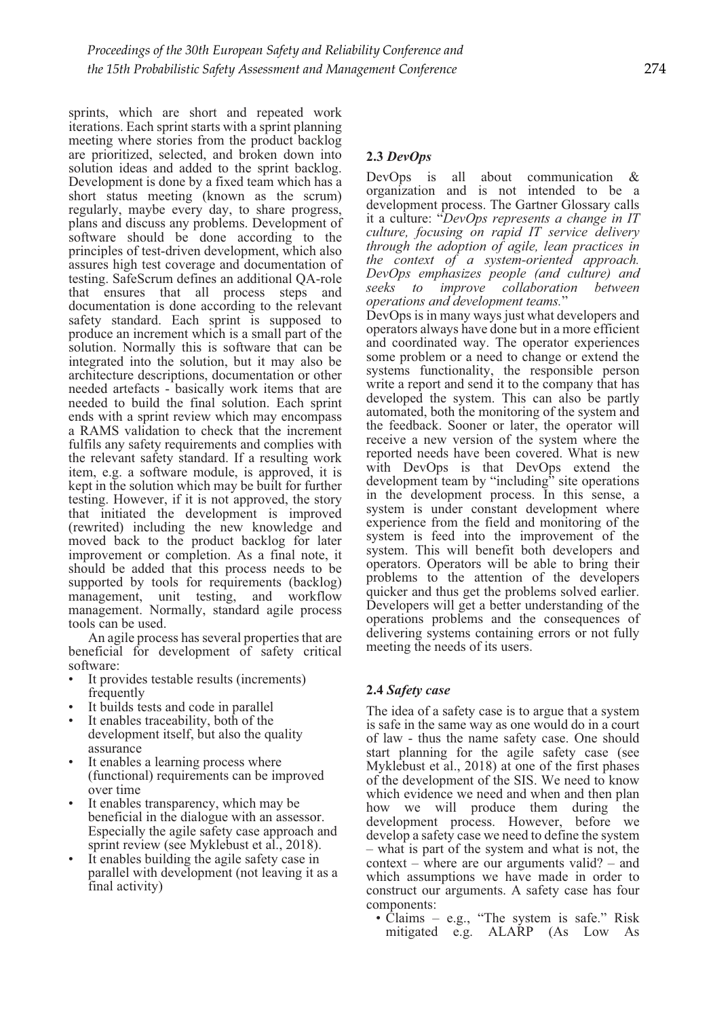sprints, which are short and repeated work iterations. Each sprint starts with a sprint planning meeting where stories from the product backlog are prioritized, selected, and broken down into solution ideas and added to the sprint backlog. Development is done by a fixed team which has a short status meeting (known as the scrum) regularly, maybe every day, to share progress, plans and discuss any problems. Development of software should be done according to the principles of test-driven development, which also assures high test coverage and documentation of testing. SafeScrum defines an additional QA-role that ensures that all process steps and documentation is done according to the relevant safety standard. Each sprint is supposed to produce an increment which is a small part of the solution. Normally this is software that can be integrated into the solution, but it may also be architecture descriptions, documentation or other needed artefacts - basically work items that are needed to build the final solution. Each sprint ends with a sprint review which may encompass a RAMS validation to check that the increment fulfils any safety requirements and complies with the relevant safety standard. If a resulting work item, e.g. a software module, is approved, it is kept in the solution which may be built for further testing. However, if it is not approved, the story that initiated the development is improved (rewrited) including the new knowledge and moved back to the product backlog for later improvement or completion. As a final note, it should be added that this process needs to be supported by tools for requirements (backlog) management, unit testing, and workflow management. Normally, standard agile process tools can be used.

An agile process has several properties that are beneficial for development of safety critical software:

- It provides testable results (increments) frequently
- It builds tests and code in parallel
- It enables traceability, both of the development itself, but also the quality assurance
- It enables a learning process where (functional) requirements can be improved over time
- It enables transparency, which may be beneficial in the dialogue with an assessor. Especially the agile safety case approach and sprint review (see Myklebust et al., 2018).
- It enables building the agile safety case in parallel with development (not leaving it as a final activity)

# **2.3** *DevOps*

DevOps is all about communication & organization and is not intended to be a development process. The Gartner Glossary calls it a culture: "*DevOps represents a change in IT culture, focusing on rapid IT service delivery through the adoption of agile, lean practices in the context of a system-oriented approach. DevOps emphasizes people (and culture) and seeks to improve collaboration between* 

DevOps is in many ways just what developers and operators always have done but in a more efficient and coordinated way. The operator experiences some problem or a need to change or extend the systems functionality, the responsible person write a report and send it to the company that has developed the system. This can also be partly automated, both the monitoring of the system and the feedback. Sooner or later, the operator will receive a new version of the system where the reported needs have been covered. What is new with DevOps is that DevOps extend the development team by "including" site operations in the development process. In this sense, a system is under constant development where experience from the field and monitoring of the system is feed into the improvement of the system. This will benefit both developers and operators. Operators will be able to bring their problems to the attention of the developers quicker and thus get the problems solved earlier. Developers will get a better understanding of the operations problems and the consequences of delivering systems containing errors or not fully meeting the needs of its users.

# **2.4** *Safety case*

The idea of a safety case is to argue that a system is safe in the same way as one would do in a court of law - thus the name safety case. One should start planning for the agile safety case (see Myklebust et al., 2018) at one of the first phases of the development of the SIS. We need to know which evidence we need and when and then plan how we will produce them during the development process. However, before we develop a safety case we need to define the system – what is part of the system and what is not, the context – where are our arguments valid? – and which assumptions we have made in order to construct our arguments. A safety case has four components:

• Claims – e.g., "The system is safe." Risk mitigated e.g. ALARP (As Low As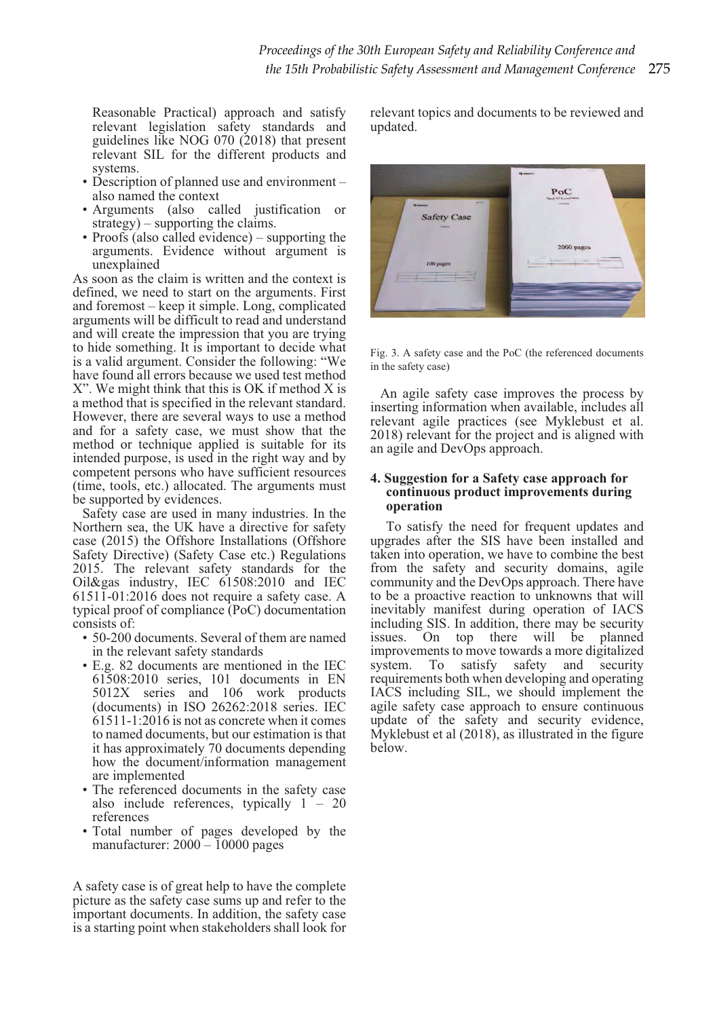Reasonable Practical) approach and satisfy relevant legislation safety standards and guidelines like NOG 070 (2018) that present relevant SIL for the different products and systems.

- Description of planned use and environment also named the context
- Arguments (also called justification or strategy) – supporting the claims.
- Proofs (also called evidence) supporting the arguments. Evidence without argument is unexplained

As soon as the claim is written and the context is defined, we need to start on the arguments. First and foremost – keep it simple. Long, complicated arguments will be difficult to read and understand and will create the impression that you are trying to hide something. It is important to decide what is a valid argument. Consider the following: "We have found all errors because we used test method X". We might think that this is OK if method X is a method that is specified in the relevant standard. However, there are several ways to use a method and for a safety case, we must show that the method or technique applied is suitable for its intended purpose, is used in the right way and by competent persons who have sufficient resources (time, tools, etc.) allocated. The arguments must be supported by evidences.

Safety case are used in many industries. In the Northern sea, the UK have a directive for safety case (2015) the Offshore Installations (Offshore Safety Directive) (Safety Case etc.) Regulations 2015. The relevant safety standards for the Oil&gas industry, IEC 61508:2010 and IEC 61511-01:2016 does not require a safety case. A typical proof of compliance (PoC) documentation consists of:

- 50-200 documents. Several of them are named in the relevant safety standards
- E.g. 82 documents are mentioned in the IEC 61508:2010 series, 101 documents in EN 5012X series and 106 work products (documents) in ISO 26262:2018 series. IEC 61511-1:2016 is not as concrete when it comes to named documents, but our estimation is that it has approximately 70 documents depending how the document/information management are implemented
- The referenced documents in the safety case also include references, typically  $1 - 20$ references
- Total number of pages developed by the manufacturer:  $2000 - 10000$  pages

A safety case is of great help to have the complete picture as the safety case sums up and refer to the important documents. In addition, the safety case is a starting point when stakeholders shall look for relevant topics and documents to be reviewed and updated.



Fig. 3. A safety case and the PoC (the referenced documents in the safety case)

An agile safety case improves the process by inserting information when available, includes all relevant agile practices (see Myklebust et al. 2018) relevant for the project and is aligned with an agile and DevOps approach.

#### **4. Suggestion for a Safety case approach for continuous product improvements during operation**

To satisfy the need for frequent updates and upgrades after the SIS have been installed and taken into operation, we have to combine the best from the safety and security domains, agile community and the DevOps approach. There have to be a proactive reaction to unknowns that will inevitably manifest during operation of IACS including SIS. In addition, there may be security issues. On top there will be planned improvements to move towards a more digitalized<br>system. To satisfy safety and security safety and security requirements both when developing and operating IACS including SIL, we should implement the agile safety case approach to ensure continuous update of the safety and security evidence,  $M$ yklebust et al  $(2018)$ , as illustrated in the figure below.